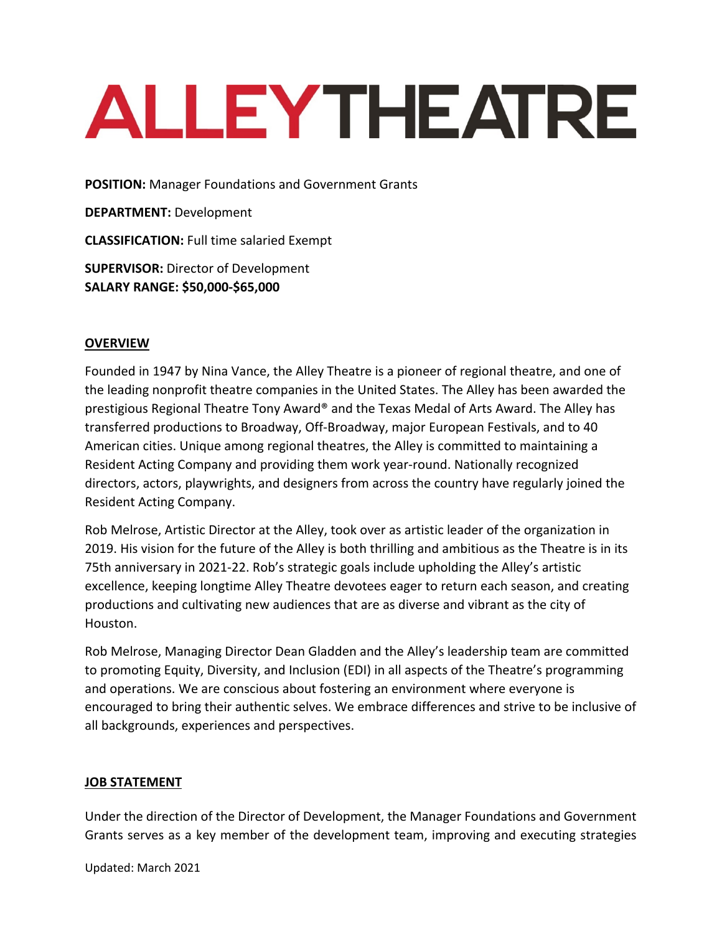# **ALLEYTHEATRE**

**POSITION:** Manager Foundations and Government Grants

**DEPARTMENT:** Development

**CLASSIFICATION:** Full time salaried Exempt

**SUPERVISOR:** Director of Development **SALARY RANGE: \$50,000-\$65,000**

### **OVERVIEW**

Founded in 1947 by Nina Vance, the Alley Theatre is a pioneer of regional theatre, and one of the leading nonprofit theatre companies in the United States. The Alley has been awarded the prestigious Regional Theatre Tony Award® and the Texas Medal of Arts Award. The Alley has transferred productions to Broadway, Off-Broadway, major European Festivals, and to 40 American cities. Unique among regional theatres, the Alley is committed to maintaining a Resident Acting Company and providing them work year-round. Nationally recognized directors, actors, playwrights, and designers from across the country have regularly joined the Resident Acting Company.

Rob Melrose, Artistic Director at the Alley, took over as artistic leader of the organization in 2019. His vision for the future of the Alley is both thrilling and ambitious as the Theatre is in its 75th anniversary in 2021-22. Rob's strategic goals include upholding the Alley's artistic excellence, keeping longtime Alley Theatre devotees eager to return each season, and creating productions and cultivating new audiences that are as diverse and vibrant as the city of Houston.

Rob Melrose, Managing Director Dean Gladden and the Alley's leadership team are committed to promoting Equity, Diversity, and Inclusion (EDI) in all aspects of the Theatre's programming and operations. We are conscious about fostering an environment where everyone is encouraged to bring their authentic selves. We embrace differences and strive to be inclusive of all backgrounds, experiences and perspectives.

### **JOB STATEMENT**

Under the direction of the Director of Development, the Manager Foundations and Government Grants serves as a key member of the development team, improving and executing strategies

Updated: March 2021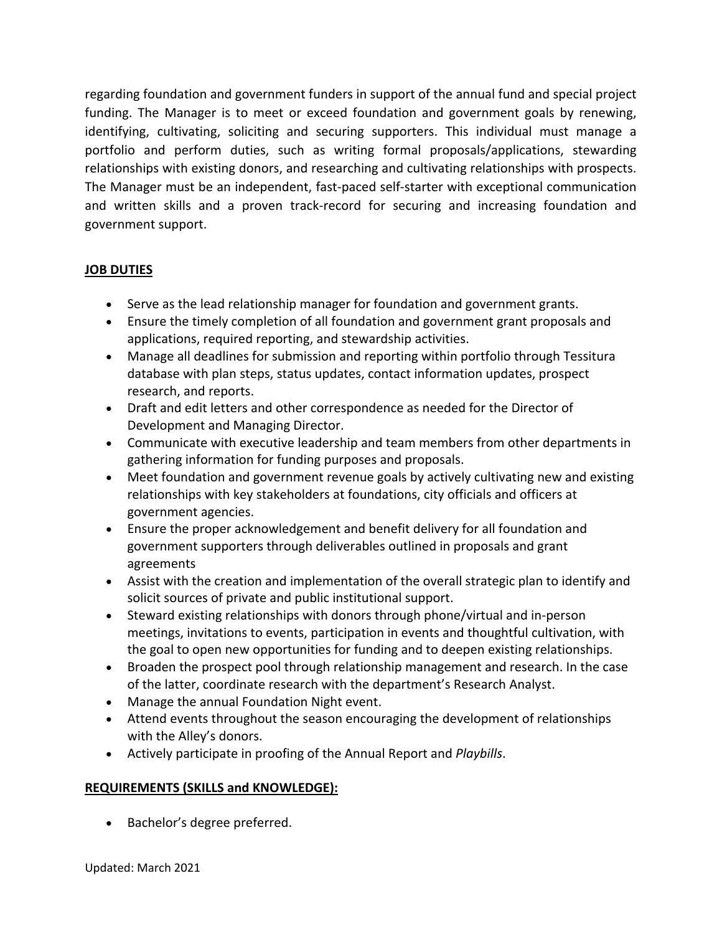regarding foundation and government funders in support of the annual fund and special project funding. The Manager is to meet or exceed foundation and government goals by renewing, identifying, cultivating, soliciting and securing supporters. This individual must manage a portfolio and perform duties, such as writing formal proposals/applications, stewarding relationships with existing donors, and researching and cultivating relationships with prospects. The Manager must be an independent, fast-paced self-starter with exceptional communication and written skills and a proven track-record for securing and increasing foundation and government support.

# **JOB DUTIES**

- Serve as the lead relationship manager for foundation and government grants.
- Ensure the timely completion of all foundation and government grant proposals and applications, required reporting, and stewardship activities.
- Manage all deadlines for submission and reporting within portfolio through Tessitura database with plan steps, status updates, contact information updates, prospect research, and reports.
- Draft and edit letters and other correspondence as needed for the Director of Development and Managing Director.
- Communicate with executive leadership and team members from other departments in gathering information for funding purposes and proposals.
- Meet foundation and government revenue goals by actively cultivating new and existing relationships with key stakeholders at foundations, city officials and officers at government agencies.
- Ensure the proper acknowledgement and benefit delivery for all foundation and government supporters through deliverables outlined in proposals and grant agreements
- Assist with the creation and implementation of the overall strategic plan to identify and solicit sources of private and public institutional support.
- Steward existing relationships with donors through phone/virtual and in-person meetings, invitations to events, participation in events and thoughtful cultivation, with the goal to open new opportunities for funding and to deepen existing relationships.
- Broaden the prospect pool through relationship management and research. In the case of the latter, coordinate research with the department's Research Analyst.
- Manage the annual Foundation Night event.
- Attend events throughout the season encouraging the development of relationships with the Alley's donors.
- Actively participate in proofing of the Annual Report and *Playbills*.

### **REQUIREMENTS (SKILLS and KNOWLEDGE):**

• Bachelor's degree preferred.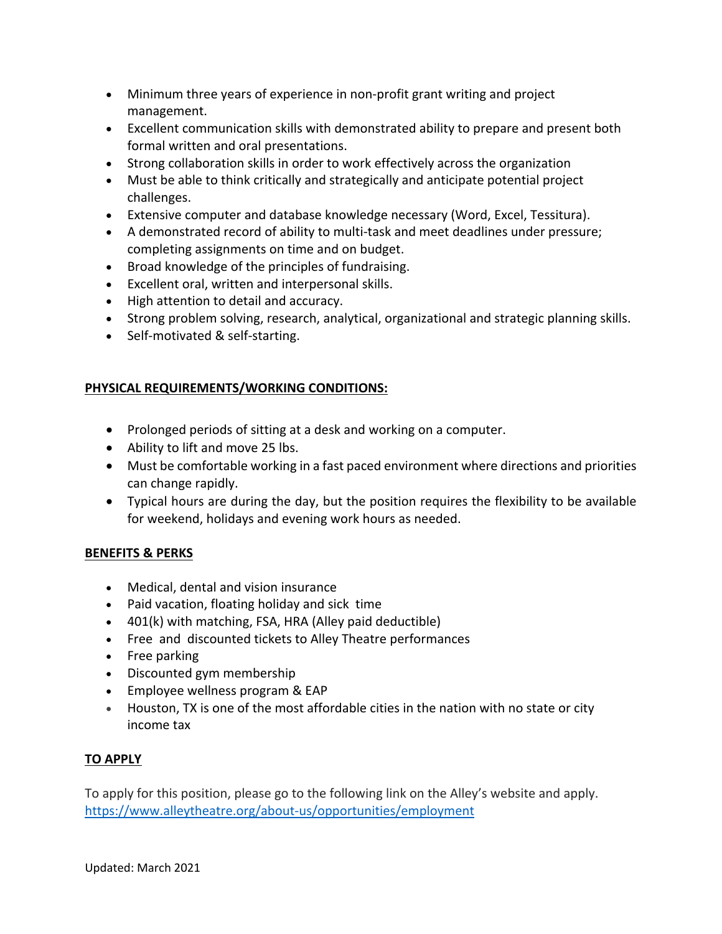- Minimum three years of experience in non-profit grant writing and project management.
- Excellent communication skills with demonstrated ability to prepare and present both formal written and oral presentations.
- Strong collaboration skills in order to work effectively across the organization
- Must be able to think critically and strategically and anticipate potential project challenges.
- Extensive computer and database knowledge necessary (Word, Excel, Tessitura).
- A demonstrated record of ability to multi-task and meet deadlines under pressure; completing assignments on time and on budget.
- Broad knowledge of the principles of fundraising.
- Excellent oral, written and interpersonal skills.
- High attention to detail and accuracy.
- Strong problem solving, research, analytical, organizational and strategic planning skills.
- Self-motivated & self-starting.

## **PHYSICAL REQUIREMENTS/WORKING CONDITIONS:**

- Prolonged periods of sitting at a desk and working on a computer.
- Ability to lift and move 25 lbs.
- Must be comfortable working in a fast paced environment where directions and priorities can change rapidly.
- Typical hours are during the day, but the position requires the flexibility to be available for weekend, holidays and evening work hours as needed.

# **BENEFITS & PERKS**

- Medical, dental and vision insurance
- Paid vacation, floating holiday and sick time
- 401(k) with matching, FSA, HRA (Alley paid deductible)
- Free and discounted tickets to Alley Theatre performances
- Free parking
- Discounted gym membership
- Employee wellness program & EAP
- Houston, TX is one of the most affordable cities in the nation with no state or city income tax

# **TO APPLY**

To apply for this position, please go to the following link on the Alley's website and apply. https://www.alleytheatre.org/about-us/opportunities/employment